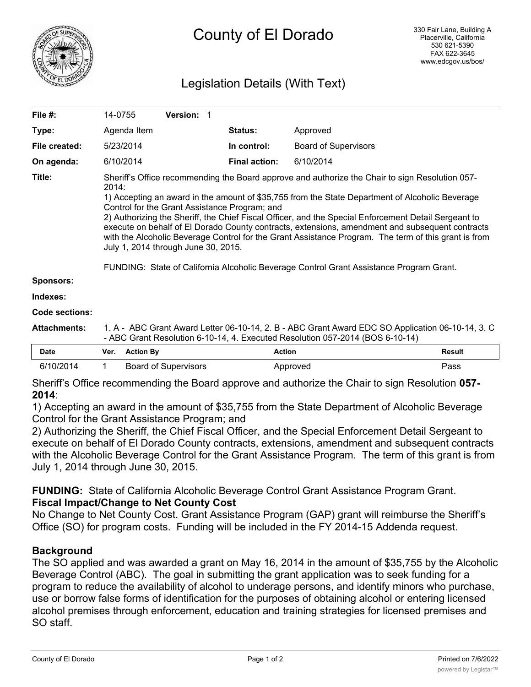

# Legislation Details (With Text)

| File #:               | 14-0755                                                                                                                                                                                                                                                                                                                                                                                                                                                                                                                                                                                                                                                                                                           | Version: 1 |  |                      |                             |               |  |
|-----------------------|-------------------------------------------------------------------------------------------------------------------------------------------------------------------------------------------------------------------------------------------------------------------------------------------------------------------------------------------------------------------------------------------------------------------------------------------------------------------------------------------------------------------------------------------------------------------------------------------------------------------------------------------------------------------------------------------------------------------|------------|--|----------------------|-----------------------------|---------------|--|
| Type:                 | Agenda Item                                                                                                                                                                                                                                                                                                                                                                                                                                                                                                                                                                                                                                                                                                       |            |  | <b>Status:</b>       | Approved                    |               |  |
| File created:         | 5/23/2014                                                                                                                                                                                                                                                                                                                                                                                                                                                                                                                                                                                                                                                                                                         |            |  | In control:          | <b>Board of Supervisors</b> |               |  |
| On agenda:            | 6/10/2014                                                                                                                                                                                                                                                                                                                                                                                                                                                                                                                                                                                                                                                                                                         |            |  | <b>Final action:</b> | 6/10/2014                   |               |  |
| Title:                | Sheriff's Office recommending the Board approve and authorize the Chair to sign Resolution 057-<br>2014:<br>1) Accepting an award in the amount of \$35,755 from the State Department of Alcoholic Beverage<br>Control for the Grant Assistance Program; and<br>2) Authorizing the Sheriff, the Chief Fiscal Officer, and the Special Enforcement Detail Sergeant to<br>execute on behalf of El Dorado County contracts, extensions, amendment and subsequent contracts<br>with the Alcoholic Beverage Control for the Grant Assistance Program. The term of this grant is from<br>July 1, 2014 through June 30, 2015.<br>FUNDING: State of California Alcoholic Beverage Control Grant Assistance Program Grant. |            |  |                      |                             |               |  |
| <b>Sponsors:</b>      |                                                                                                                                                                                                                                                                                                                                                                                                                                                                                                                                                                                                                                                                                                                   |            |  |                      |                             |               |  |
| Indexes:              |                                                                                                                                                                                                                                                                                                                                                                                                                                                                                                                                                                                                                                                                                                                   |            |  |                      |                             |               |  |
| <b>Code sections:</b> |                                                                                                                                                                                                                                                                                                                                                                                                                                                                                                                                                                                                                                                                                                                   |            |  |                      |                             |               |  |
| <b>Attachments:</b>   | 1. A - ABC Grant Award Letter 06-10-14, 2. B - ABC Grant Award EDC SO Application 06-10-14, 3. C<br>- ABC Grant Resolution 6-10-14, 4. Executed Resolution 057-2014 (BOS 6-10-14)                                                                                                                                                                                                                                                                                                                                                                                                                                                                                                                                 |            |  |                      |                             |               |  |
| <b>Date</b>           | <b>Action By</b><br>Ver.                                                                                                                                                                                                                                                                                                                                                                                                                                                                                                                                                                                                                                                                                          |            |  | <b>Action</b>        |                             | <b>Result</b> |  |

| Date      | Ver. | Action Bv            | Action   | Result |
|-----------|------|----------------------|----------|--------|
| 6/10/2014 |      | Board of Supervisors | Approved | 'ass   |

Sheriff's Office recommending the Board approve and authorize the Chair to sign Resolution **057- 2014**:

1) Accepting an award in the amount of \$35,755 from the State Department of Alcoholic Beverage Control for the Grant Assistance Program; and

2) Authorizing the Sheriff, the Chief Fiscal Officer, and the Special Enforcement Detail Sergeant to execute on behalf of El Dorado County contracts, extensions, amendment and subsequent contracts with the Alcoholic Beverage Control for the Grant Assistance Program. The term of this grant is from July 1, 2014 through June 30, 2015.

**FUNDING:** State of California Alcoholic Beverage Control Grant Assistance Program Grant. **Fiscal Impact/Change to Net County Cost**

No Change to Net County Cost. Grant Assistance Program (GAP) grant will reimburse the Sheriff's Office (SO) for program costs. Funding will be included in the FY 2014-15 Addenda request.

## **Background**

The SO applied and was awarded a grant on May 16, 2014 in the amount of \$35,755 by the Alcoholic Beverage Control (ABC). The goal in submitting the grant application was to seek funding for a program to reduce the availability of alcohol to underage persons, and identify minors who purchase, use or borrow false forms of identification for the purposes of obtaining alcohol or entering licensed alcohol premises through enforcement, education and training strategies for licensed premises and SO staff.